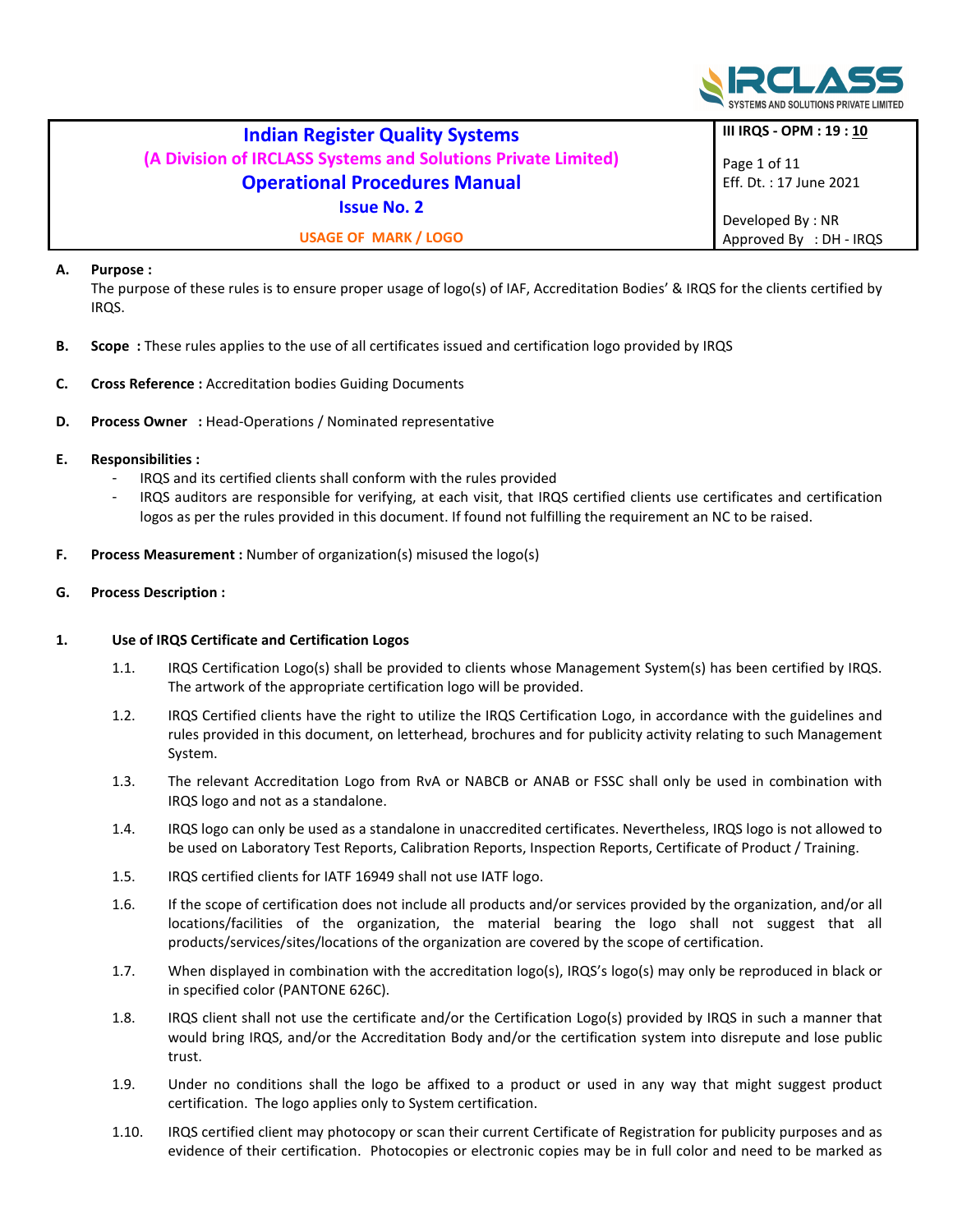

|                                                               | <b>Indian Register Quality Systems</b> |                                         |
|---------------------------------------------------------------|----------------------------------------|-----------------------------------------|
|                                                               | III IRQS - OPM : 19 : 10               |                                         |
| (A Division of IRCLASS Systems and Solutions Private Limited) |                                        | Page 1 of 11<br>Eff. Dt. : 17 June 2021 |
| <b>Operational Procedures Manual</b>                          |                                        |                                         |
| <b>Issue No. 2</b>                                            |                                        |                                         |
|                                                               |                                        | Developed By: NR                        |
| <b>USAGE OF MARK / LOGO</b>                                   |                                        | Approved By : DH - IRQS                 |

# A. Purpose :

 The purpose of these rules is to ensure proper usage of logo(s) of IAF, Accreditation Bodies' & IRQS for the clients certified by IRQS.

- B. Scope : These rules applies to the use of all certificates issued and certification logo provided by IRQS
- C. Cross Reference : Accreditation bodies Guiding Documents
- D. Process Owner : Head-Operations / Nominated representative

## E. Responsibilities :

- IRQS and its certified clients shall conform with the rules provided
- IRQS auditors are responsible for verifying, at each visit, that IRQS certified clients use certificates and certification logos as per the rules provided in this document. If found not fulfilling the requirement an NC to be raised.
- F. Process Measurement : Number of organization(s) misused the logo(s)

## G. Process Description :

## 1. Use of IRQS Certificate and Certification Logos

- 1.1. IRQS Certification Logo(s) shall be provided to clients whose Management System(s) has been certified by IRQS. The artwork of the appropriate certification logo will be provided.
- 1.2. IRQS Certified clients have the right to utilize the IRQS Certification Logo, in accordance with the guidelines and rules provided in this document, on letterhead, brochures and for publicity activity relating to such Management System.
- 1.3. The relevant Accreditation Logo from RvA or NABCB or ANAB or FSSC shall only be used in combination with IRQS logo and not as a standalone.
- 1.4. IRQS logo can only be used as a standalone in unaccredited certificates. Nevertheless, IRQS logo is not allowed to be used on Laboratory Test Reports, Calibration Reports, Inspection Reports, Certificate of Product / Training.
- 1.5. IRQS certified clients for IATF 16949 shall not use IATF logo.
- 1.6. If the scope of certification does not include all products and/or services provided by the organization, and/or all locations/facilities of the organization, the material bearing the logo shall not suggest that all products/services/sites/locations of the organization are covered by the scope of certification.
- 1.7. When displayed in combination with the accreditation logo(s), IRQS's logo(s) may only be reproduced in black or in specified color (PANTONE 626C).
- 1.8. IRQS client shall not use the certificate and/or the Certification Logo(s) provided by IRQS in such a manner that would bring IRQS, and/or the Accreditation Body and/or the certification system into disrepute and lose public trust.
- 1.9. Under no conditions shall the logo be affixed to a product or used in any way that might suggest product certification. The logo applies only to System certification.
- 1.10. IRQS certified client may photocopy or scan their current Certificate of Registration for publicity purposes and as evidence of their certification. Photocopies or electronic copies may be in full color and need to be marked as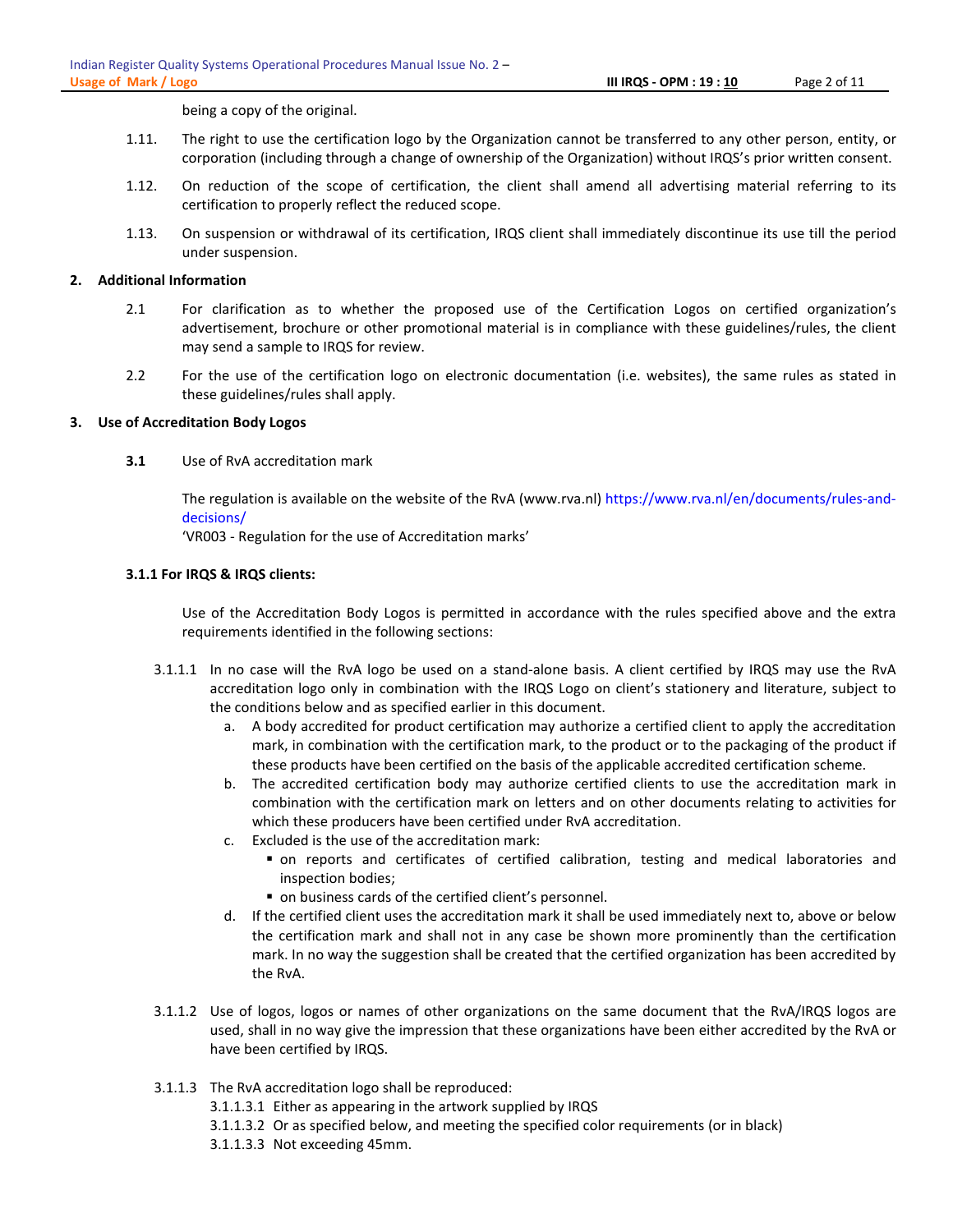being a copy of the original.

- 1.11. The right to use the certification logo by the Organization cannot be transferred to any other person, entity, or corporation (including through a change of ownership of the Organization) without IRQS's prior written consent.
- 1.12. On reduction of the scope of certification, the client shall amend all advertising material referring to its certification to properly reflect the reduced scope.
- 1.13. On suspension or withdrawal of its certification, IRQS client shall immediately discontinue its use till the period under suspension.

### 2. Additional Information

- 2.1 For clarification as to whether the proposed use of the Certification Logos on certified organization's advertisement, brochure or other promotional material is in compliance with these guidelines/rules, the client may send a sample to IRQS for review.
- 2.2 For the use of the certification logo on electronic documentation (i.e. websites), the same rules as stated in these guidelines/rules shall apply.

#### 3. Use of Accreditation Body Logos

3.1 Use of RvA accreditation mark

The regulation is available on the website of the RvA (www.rva.nl) https://www.rva.nl/en/documents/rules-anddecisions/

'VR003 - Regulation for the use of Accreditation marks'

### 3.1.1 For IRQS & IRQS clients:

Use of the Accreditation Body Logos is permitted in accordance with the rules specified above and the extra requirements identified in the following sections:

- 3.1.1.1 In no case will the RvA logo be used on a stand-alone basis. A client certified by IRQS may use the RvA accreditation logo only in combination with the IRQS Logo on client's stationery and literature, subject to the conditions below and as specified earlier in this document.
	- a. A body accredited for product certification may authorize a certified client to apply the accreditation mark, in combination with the certification mark, to the product or to the packaging of the product if these products have been certified on the basis of the applicable accredited certification scheme.
	- b. The accredited certification body may authorize certified clients to use the accreditation mark in combination with the certification mark on letters and on other documents relating to activities for which these producers have been certified under RvA accreditation.
	- c. Excluded is the use of the accreditation mark:
		- on reports and certificates of certified calibration, testing and medical laboratories and inspection bodies;
		- on business cards of the certified client's personnel.
	- d. If the certified client uses the accreditation mark it shall be used immediately next to, above or below the certification mark and shall not in any case be shown more prominently than the certification mark. In no way the suggestion shall be created that the certified organization has been accredited by the RvA.
- 3.1.1.2 Use of logos, logos or names of other organizations on the same document that the RvA/IRQS logos are used, shall in no way give the impression that these organizations have been either accredited by the RvA or have been certified by IRQS.
- 3.1.1.3 The RvA accreditation logo shall be reproduced:

3.1.1.3.1 Either as appearing in the artwork supplied by IRQS

- 3.1.1.3.2 Or as specified below, and meeting the specified color requirements (or in black)
- 3.1.1.3.3 Not exceeding 45mm.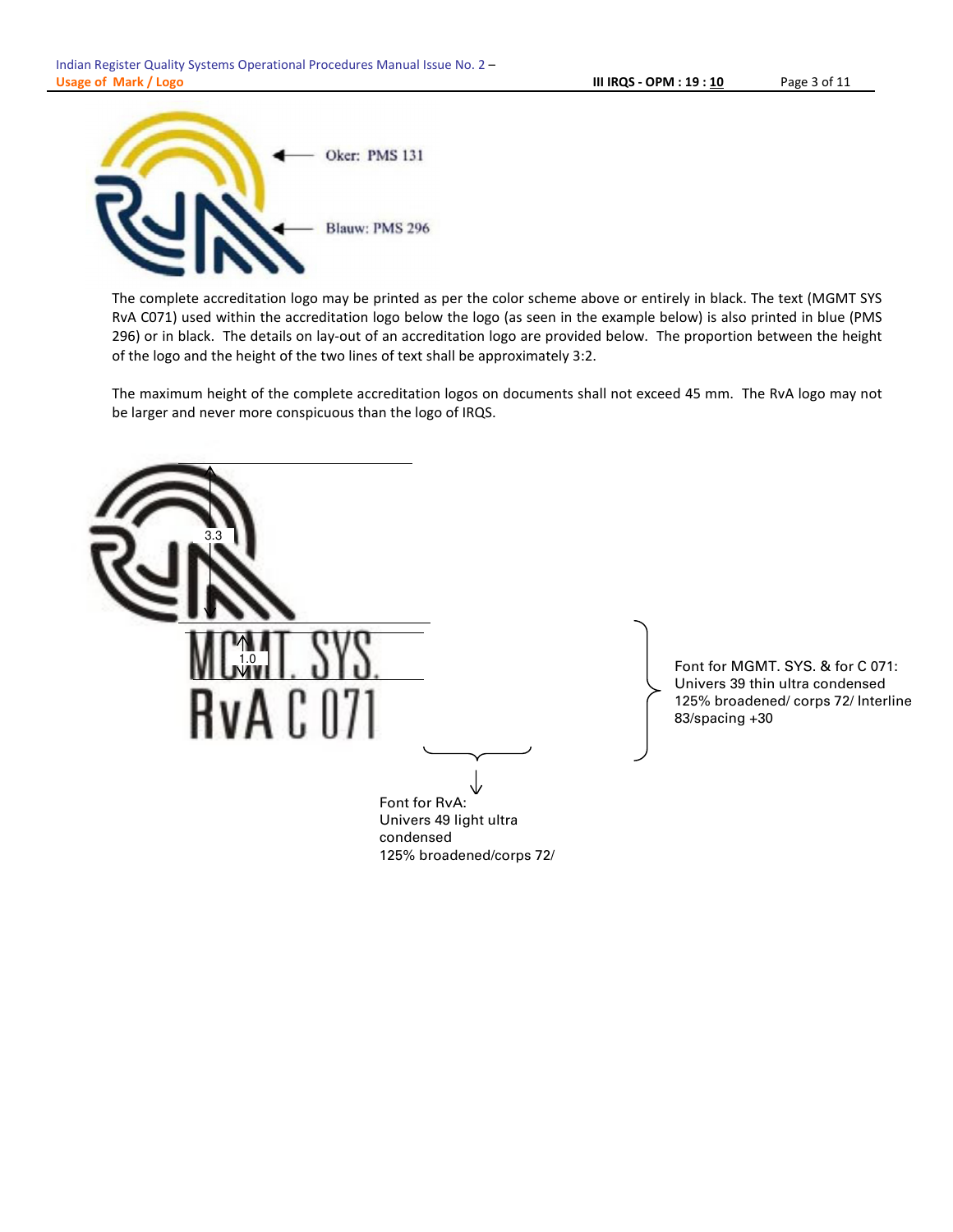

The complete accreditation logo may be printed as per the color scheme above or entirely in black. The text (MGMT SYS RvA C071) used within the accreditation logo below the logo (as seen in the example below) is also printed in blue (PMS 296) or in black. The details on lay-out of an accreditation logo are provided below. The proportion between the height of the logo and the height of the two lines of text shall be approximately 3:2.

The maximum height of the complete accreditation logos on documents shall not exceed 45 mm. The RvA logo may not be larger and never more conspicuous than the logo of IRQS.

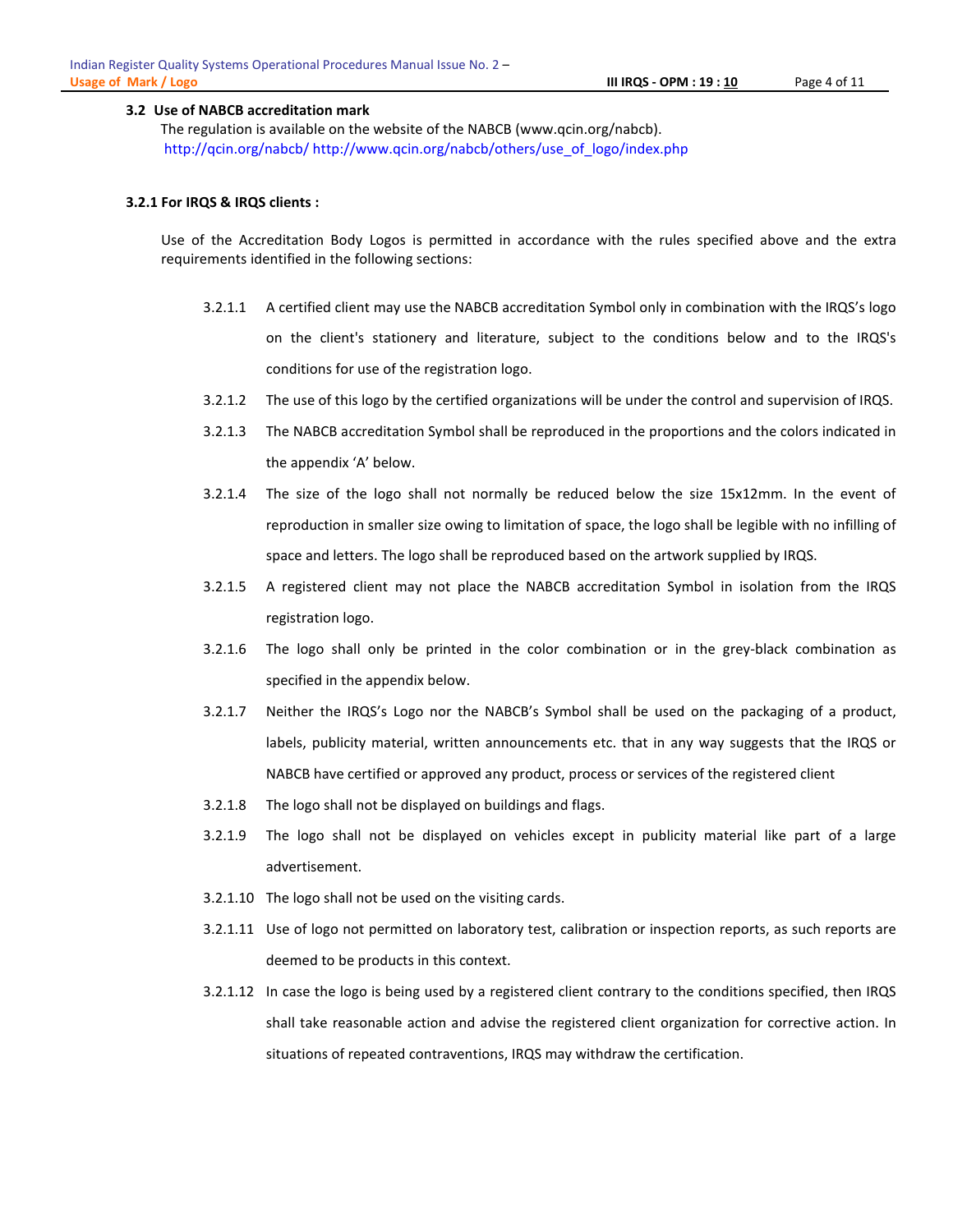#### 3.2 Use of NABCB accreditation mark

The regulation is available on the website of the NABCB (www.qcin.org/nabcb). http://qcin.org/nabcb/ http://www.qcin.org/nabcb/others/use\_of\_logo/index.php

#### 3.2.1 For IRQS & IRQS clients :

Use of the Accreditation Body Logos is permitted in accordance with the rules specified above and the extra requirements identified in the following sections:

- 3.2.1.1 A certified client may use the NABCB accreditation Symbol only in combination with the IRQS's logo on the client's stationery and literature, subject to the conditions below and to the IRQS's conditions for use of the registration logo.
- 3.2.1.2 The use of this logo by the certified organizations will be under the control and supervision of IRQS.
- 3.2.1.3 The NABCB accreditation Symbol shall be reproduced in the proportions and the colors indicated in the appendix 'A' below.
- 3.2.1.4 The size of the logo shall not normally be reduced below the size 15x12mm. In the event of reproduction in smaller size owing to limitation of space, the logo shall be legible with no infilling of space and letters. The logo shall be reproduced based on the artwork supplied by IRQS.
- 3.2.1.5 A registered client may not place the NABCB accreditation Symbol in isolation from the IRQS registration logo.
- 3.2.1.6 The logo shall only be printed in the color combination or in the grey-black combination as specified in the appendix below.
- 3.2.1.7 Neither the IRQS's Logo nor the NABCB's Symbol shall be used on the packaging of a product, labels, publicity material, written announcements etc. that in any way suggests that the IRQS or NABCB have certified or approved any product, process or services of the registered client
- 3.2.1.8 The logo shall not be displayed on buildings and flags.
- 3.2.1.9 The logo shall not be displayed on vehicles except in publicity material like part of a large advertisement.
- 3.2.1.10 The logo shall not be used on the visiting cards.
- 3.2.1.11 Use of logo not permitted on laboratory test, calibration or inspection reports, as such reports are deemed to be products in this context.
- 3.2.1.12 In case the logo is being used by a registered client contrary to the conditions specified, then IRQS shall take reasonable action and advise the registered client organization for corrective action. In situations of repeated contraventions, IRQS may withdraw the certification.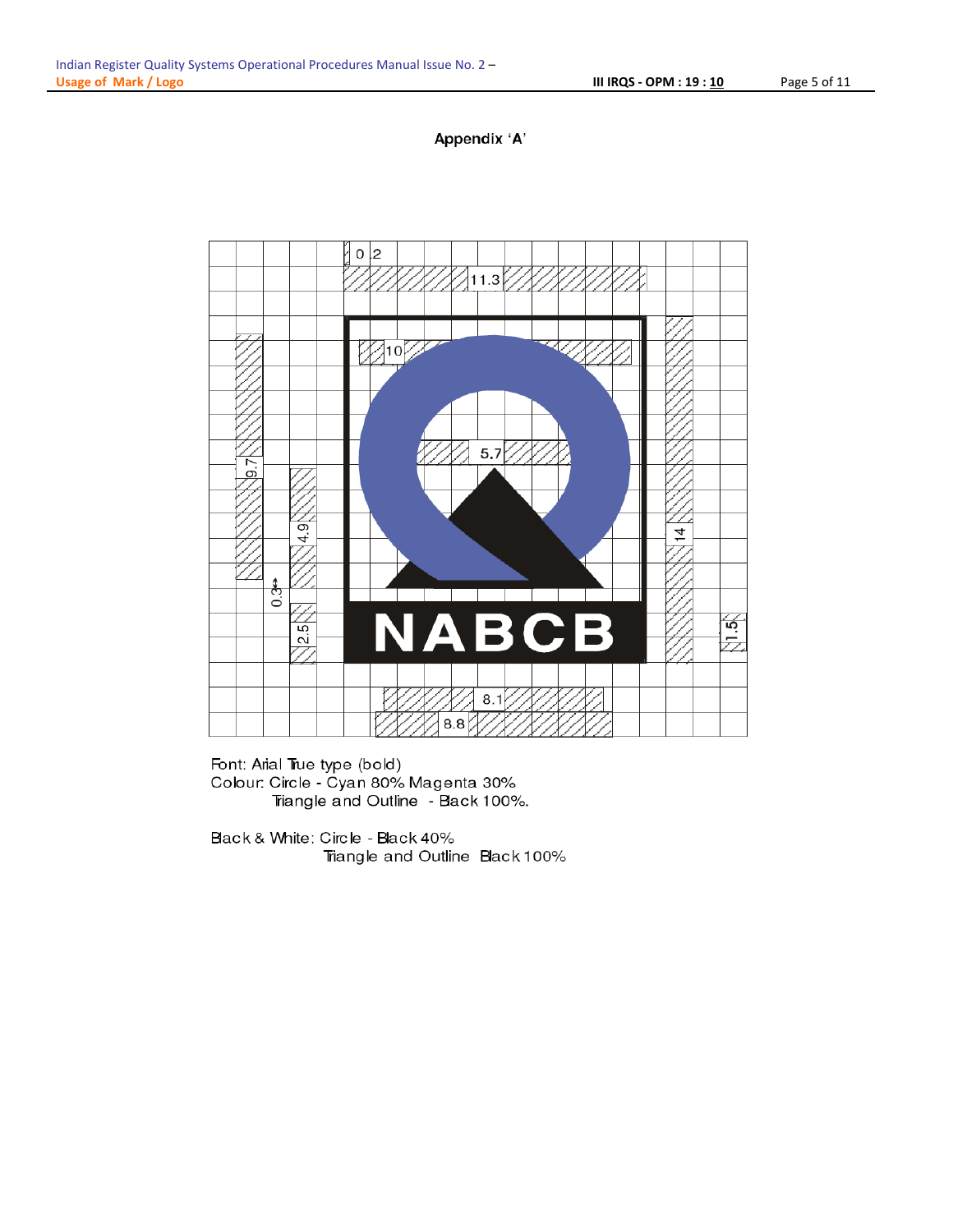



Font: Arial True type (bold) Colour: Circle - Cyan 80% Magenta 30% Triangle and Outline - Black 100%.

Black & White: Circle - Black 40% Triangle and Outline Black 100%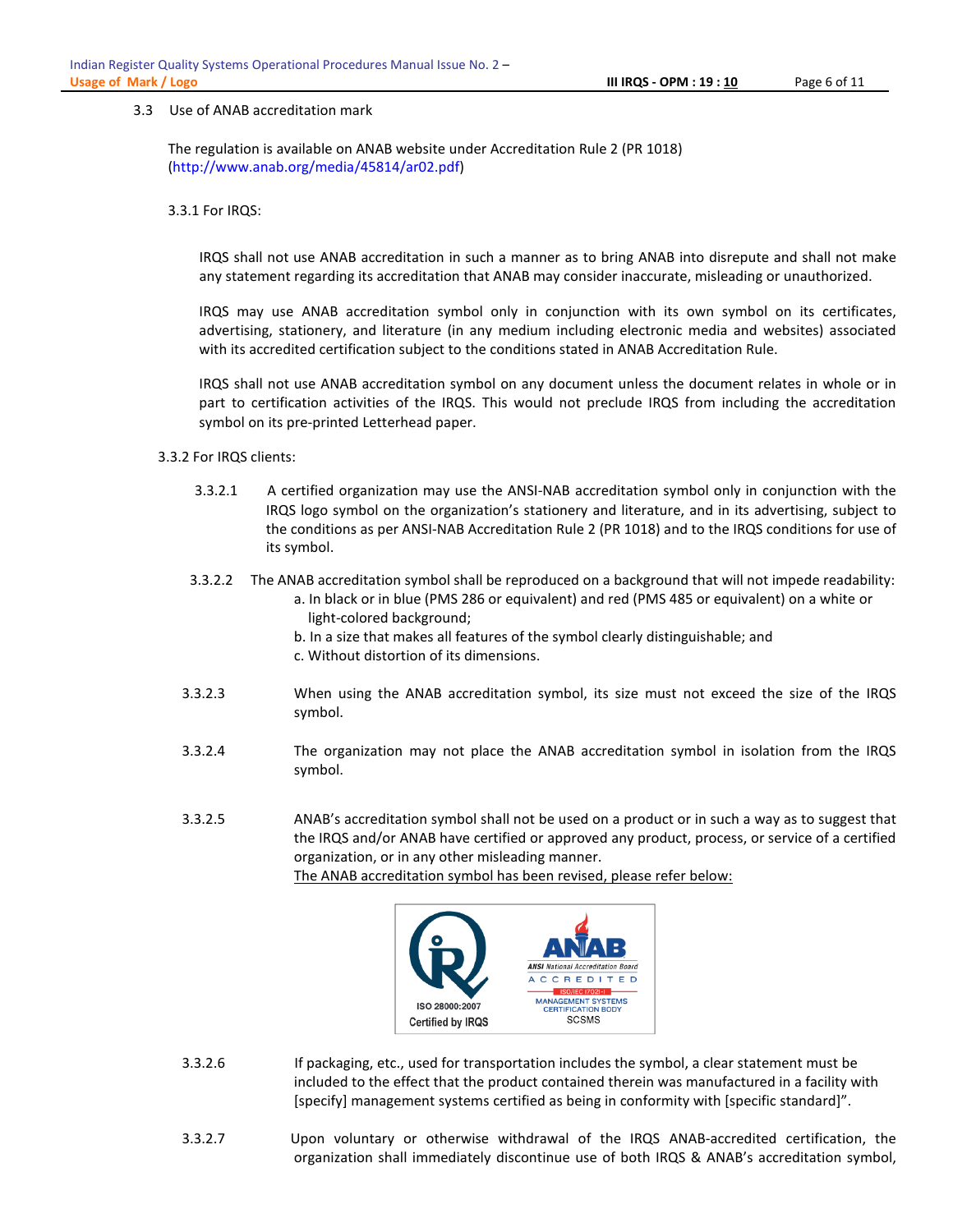#### 3.3 Use of ANAB accreditation mark

The regulation is available on ANAB website under Accreditation Rule 2 (PR 1018) (http://www.anab.org/media/45814/ar02.pdf)

3.3.1 For IRQS:

IRQS shall not use ANAB accreditation in such a manner as to bring ANAB into disrepute and shall not make any statement regarding its accreditation that ANAB may consider inaccurate, misleading or unauthorized.

IRQS may use ANAB accreditation symbol only in conjunction with its own symbol on its certificates, advertising, stationery, and literature (in any medium including electronic media and websites) associated with its accredited certification subject to the conditions stated in ANAB Accreditation Rule.

IRQS shall not use ANAB accreditation symbol on any document unless the document relates in whole or in part to certification activities of the IRQS. This would not preclude IRQS from including the accreditation symbol on its pre-printed Letterhead paper.

#### 3.3.2 For IRQS clients:

- 3.3.2.1 A certified organization may use the ANSI-NAB accreditation symbol only in conjunction with the IRQS logo symbol on the organization's stationery and literature, and in its advertising, subject to the conditions as per ANSI-NAB Accreditation Rule 2 (PR 1018) and to the IRQS conditions for use of its symbol.
- 3.3.2.2 The ANAB accreditation symbol shall be reproduced on a background that will not impede readability:
	- a. In black or in blue (PMS 286 or equivalent) and red (PMS 485 or equivalent) on a white or light-colored background;
	- b. In a size that makes all features of the symbol clearly distinguishable; and
	- c. Without distortion of its dimensions.
- 3.3.2.3 When using the ANAB accreditation symbol, its size must not exceed the size of the IRQS symbol.
- 3.3.2.4 The organization may not place the ANAB accreditation symbol in isolation from the IRQS symbol.
- 3.3.2.5 ANAB's accreditation symbol shall not be used on a product or in such a way as to suggest that the IRQS and/or ANAB have certified or approved any product, process, or service of a certified organization, or in any other misleading manner.

The ANAB accreditation symbol has been revised, please refer below:



- 3.3.2.6 If packaging, etc., used for transportation includes the symbol, a clear statement must be included to the effect that the product contained therein was manufactured in a facility with [specify] management systems certified as being in conformity with [specific standard]".
- 3.3.2.7 Upon voluntary or otherwise withdrawal of the IRQS ANAB-accredited certification, the organization shall immediately discontinue use of both IRQS & ANAB's accreditation symbol,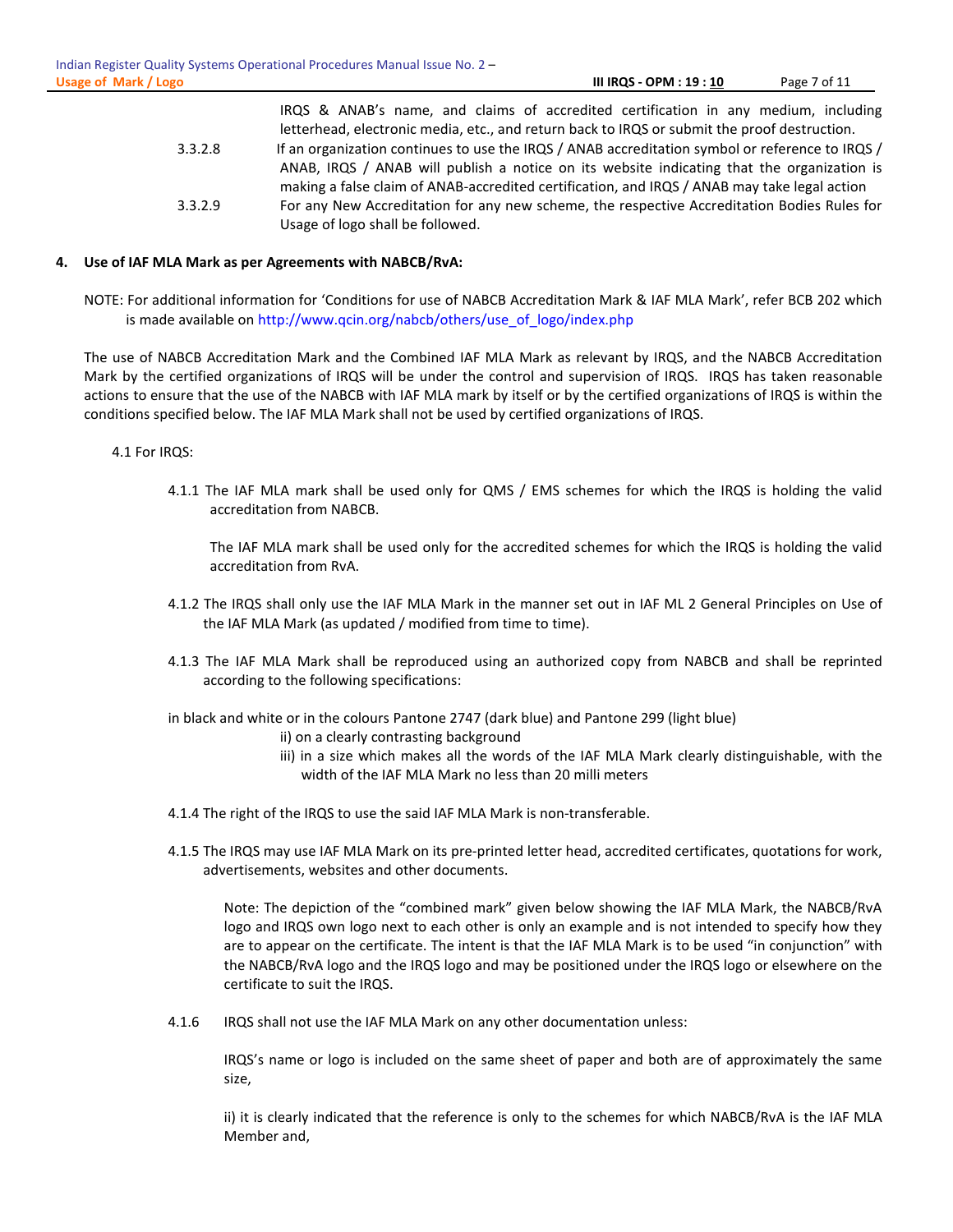|         | IRQS & ANAB's name, and claims of accredited certification in any medium, including             |  |  |
|---------|-------------------------------------------------------------------------------------------------|--|--|
|         | letterhead, electronic media, etc., and return back to IRQS or submit the proof destruction.    |  |  |
| 3.3.2.8 | If an organization continues to use the IRQS / ANAB accreditation symbol or reference to IRQS / |  |  |
|         | ANAB, IRQS / ANAB will publish a notice on its website indicating that the organization is      |  |  |
|         | making a false claim of ANAB-accredited certification, and IRQS / ANAB may take legal action    |  |  |
| 3.3.2.9 | For any New Accreditation for any new scheme, the respective Accreditation Bodies Rules for     |  |  |
|         | Usage of logo shall be followed.                                                                |  |  |

### 4. Use of IAF MLA Mark as per Agreements with NABCB/RvA:

NOTE: For additional information for 'Conditions for use of NABCB Accreditation Mark & IAF MLA Mark', refer BCB 202 which is made available on http://www.qcin.org/nabcb/others/use\_of\_logo/index.php

The use of NABCB Accreditation Mark and the Combined IAF MLA Mark as relevant by IRQS, and the NABCB Accreditation Mark by the certified organizations of IRQS will be under the control and supervision of IRQS. IRQS has taken reasonable actions to ensure that the use of the NABCB with IAF MLA mark by itself or by the certified organizations of IRQS is within the conditions specified below. The IAF MLA Mark shall not be used by certified organizations of IRQS.

4.1 For IRQS:

4.1.1 The IAF MLA mark shall be used only for QMS / EMS schemes for which the IRQS is holding the valid accreditation from NABCB.

The IAF MLA mark shall be used only for the accredited schemes for which the IRQS is holding the valid accreditation from RvA.

- 4.1.2 The IRQS shall only use the IAF MLA Mark in the manner set out in IAF ML 2 General Principles on Use of the IAF MLA Mark (as updated / modified from time to time).
- 4.1.3 The IAF MLA Mark shall be reproduced using an authorized copy from NABCB and shall be reprinted according to the following specifications:

in black and white or in the colours Pantone 2747 (dark blue) and Pantone 299 (light blue)

- ii) on a clearly contrasting background
- iii) in a size which makes all the words of the IAF MLA Mark clearly distinguishable, with the width of the IAF MLA Mark no less than 20 milli meters
- 4.1.4 The right of the IRQS to use the said IAF MLA Mark is non-transferable.
- 4.1.5 The IRQS may use IAF MLA Mark on its pre-printed letter head, accredited certificates, quotations for work, advertisements, websites and other documents.

Note: The depiction of the "combined mark" given below showing the IAF MLA Mark, the NABCB/RvA logo and IRQS own logo next to each other is only an example and is not intended to specify how they are to appear on the certificate. The intent is that the IAF MLA Mark is to be used "in conjunction" with the NABCB/RvA logo and the IRQS logo and may be positioned under the IRQS logo or elsewhere on the certificate to suit the IRQS.

4.1.6 IRQS shall not use the IAF MLA Mark on any other documentation unless:

IRQS's name or logo is included on the same sheet of paper and both are of approximately the same size,

ii) it is clearly indicated that the reference is only to the schemes for which NABCB/RvA is the IAF MLA Member and,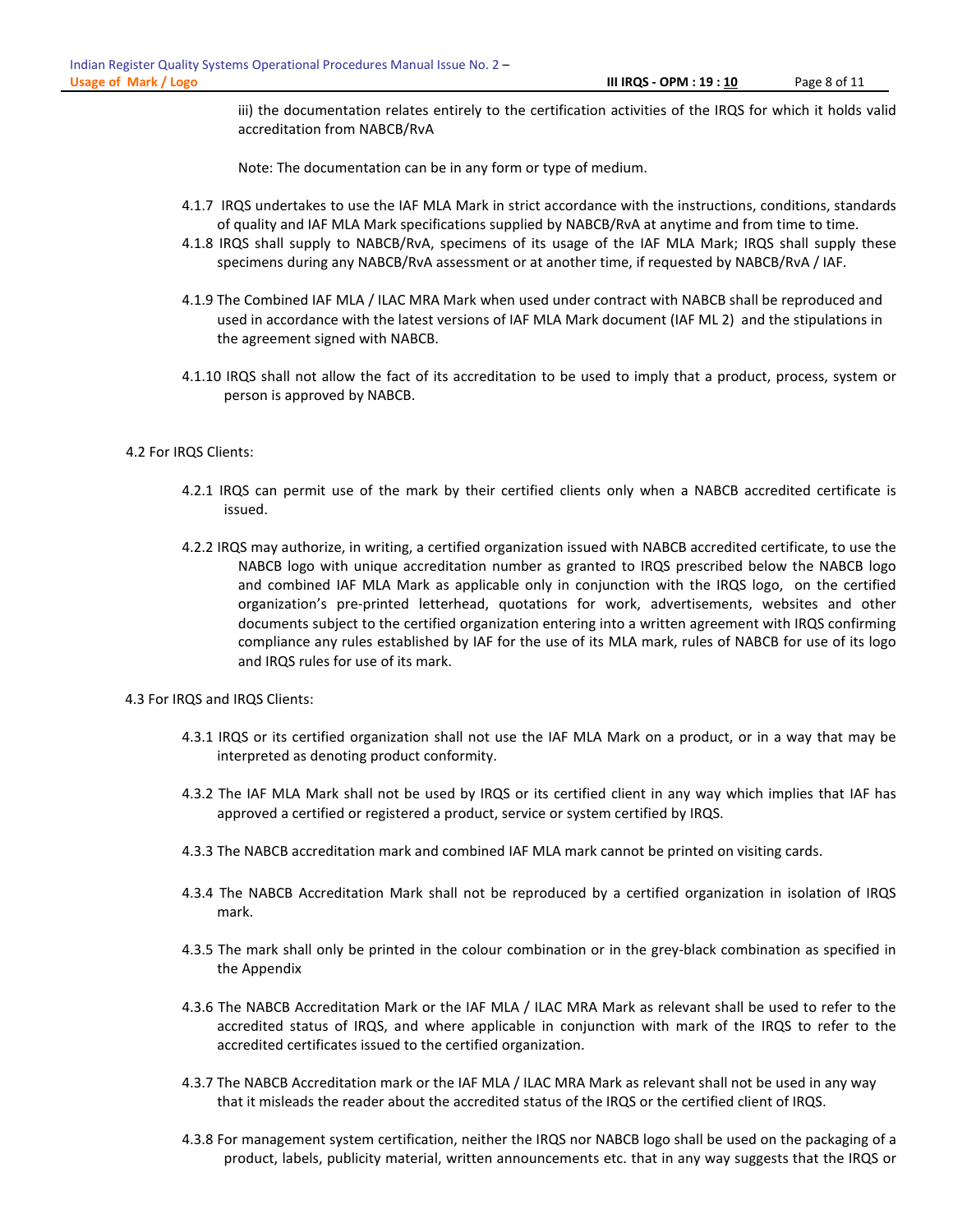iii) the documentation relates entirely to the certification activities of the IRQS for which it holds valid accreditation from NABCB/RvA

Note: The documentation can be in any form or type of medium.

- 4.1.7 IRQS undertakes to use the IAF MLA Mark in strict accordance with the instructions, conditions, standards of quality and IAF MLA Mark specifications supplied by NABCB/RvA at anytime and from time to time.
- 4.1.8 IRQS shall supply to NABCB/RvA, specimens of its usage of the IAF MLA Mark; IRQS shall supply these specimens during any NABCB/RvA assessment or at another time, if requested by NABCB/RvA / IAF.
- 4.1.9 The Combined IAF MLA / ILAC MRA Mark when used under contract with NABCB shall be reproduced and used in accordance with the latest versions of IAF MLA Mark document (IAF ML 2) and the stipulations in the agreement signed with NABCB.
- 4.1.10 IRQS shall not allow the fact of its accreditation to be used to imply that a product, process, system or person is approved by NABCB.

### 4.2 For IRQS Clients:

- 4.2.1 IRQS can permit use of the mark by their certified clients only when a NABCB accredited certificate is issued.
- 4.2.2 IRQS may authorize, in writing, a certified organization issued with NABCB accredited certificate, to use the NABCB logo with unique accreditation number as granted to IRQS prescribed below the NABCB logo and combined IAF MLA Mark as applicable only in conjunction with the IRQS logo, on the certified organization's pre-printed letterhead, quotations for work, advertisements, websites and other documents subject to the certified organization entering into a written agreement with IRQS confirming compliance any rules established by IAF for the use of its MLA mark, rules of NABCB for use of its logo and IRQS rules for use of its mark.
- 4.3 For IRQS and IRQS Clients:
	- 4.3.1 IRQS or its certified organization shall not use the IAF MLA Mark on a product, or in a way that may be interpreted as denoting product conformity.
	- 4.3.2 The IAF MLA Mark shall not be used by IRQS or its certified client in any way which implies that IAF has approved a certified or registered a product, service or system certified by IRQS.
	- 4.3.3 The NABCB accreditation mark and combined IAF MLA mark cannot be printed on visiting cards.
	- 4.3.4 The NABCB Accreditation Mark shall not be reproduced by a certified organization in isolation of IRQS mark.
	- 4.3.5 The mark shall only be printed in the colour combination or in the grey-black combination as specified in the Appendix
	- 4.3.6 The NABCB Accreditation Mark or the IAF MLA / ILAC MRA Mark as relevant shall be used to refer to the accredited status of IRQS, and where applicable in conjunction with mark of the IRQS to refer to the accredited certificates issued to the certified organization.
	- 4.3.7 The NABCB Accreditation mark or the IAF MLA / ILAC MRA Mark as relevant shall not be used in any way that it misleads the reader about the accredited status of the IRQS or the certified client of IRQS.
	- 4.3.8 For management system certification, neither the IRQS nor NABCB logo shall be used on the packaging of a product, labels, publicity material, written announcements etc. that in any way suggests that the IRQS or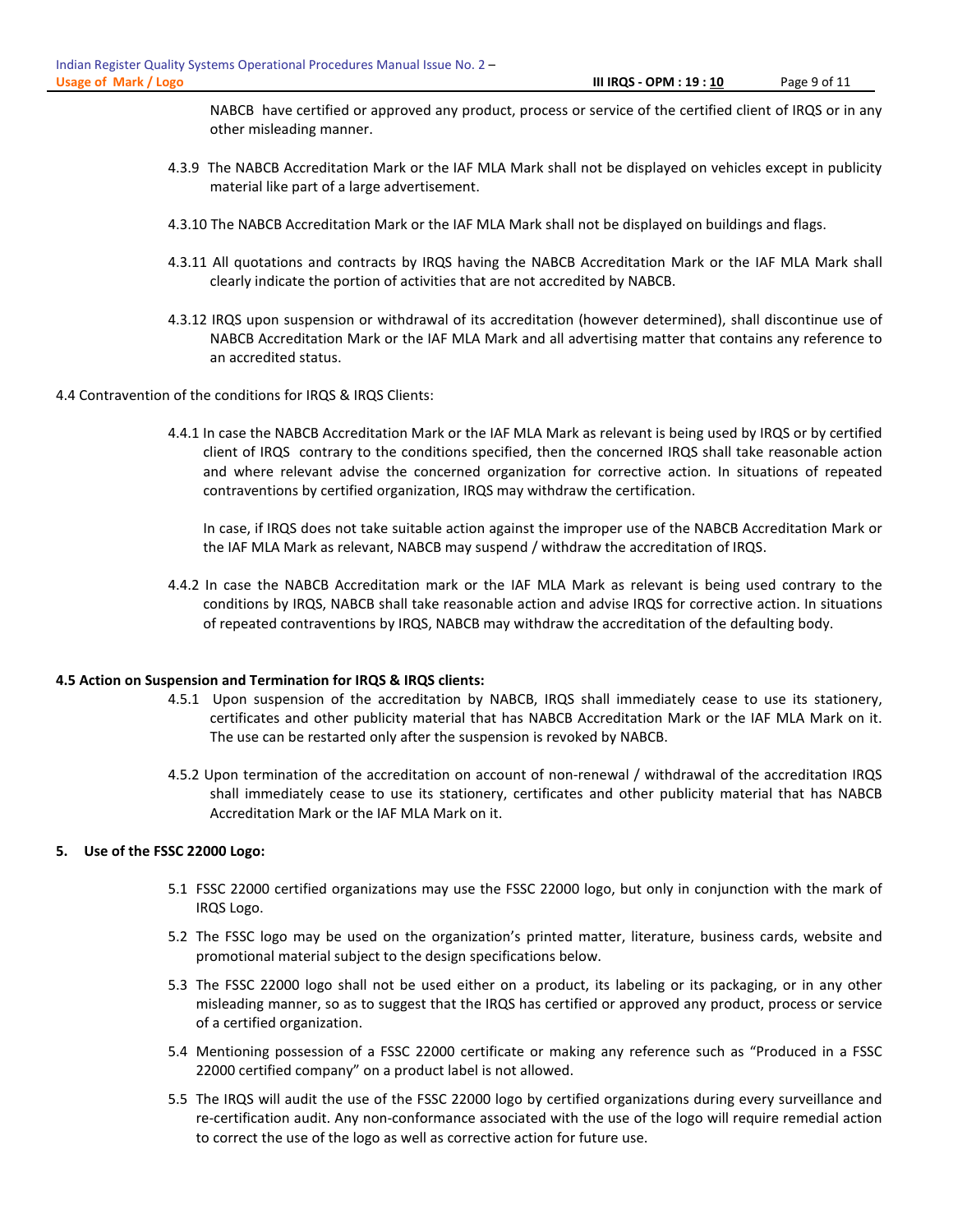NABCB have certified or approved any product, process or service of the certified client of IRQS or in any other misleading manner.

- 4.3.9 The NABCB Accreditation Mark or the IAF MLA Mark shall not be displayed on vehicles except in publicity material like part of a large advertisement.
- 4.3.10 The NABCB Accreditation Mark or the IAF MLA Mark shall not be displayed on buildings and flags.
- 4.3.11 All quotations and contracts by IRQS having the NABCB Accreditation Mark or the IAF MLA Mark shall clearly indicate the portion of activities that are not accredited by NABCB.
- 4.3.12 IRQS upon suspension or withdrawal of its accreditation (however determined), shall discontinue use of NABCB Accreditation Mark or the IAF MLA Mark and all advertising matter that contains any reference to an accredited status.
- 4.4 Contravention of the conditions for IRQS & IRQS Clients:
	- 4.4.1 In case the NABCB Accreditation Mark or the IAF MLA Mark as relevant is being used by IRQS or by certified client of IRQS contrary to the conditions specified, then the concerned IRQS shall take reasonable action and where relevant advise the concerned organization for corrective action. In situations of repeated contraventions by certified organization, IRQS may withdraw the certification.

In case, if IRQS does not take suitable action against the improper use of the NABCB Accreditation Mark or the IAF MLA Mark as relevant, NABCB may suspend / withdraw the accreditation of IRQS.

4.4.2 In case the NABCB Accreditation mark or the IAF MLA Mark as relevant is being used contrary to the conditions by IRQS, NABCB shall take reasonable action and advise IRQS for corrective action. In situations of repeated contraventions by IRQS, NABCB may withdraw the accreditation of the defaulting body.

#### 4.5 Action on Suspension and Termination for IRQS & IRQS clients:

- 4.5.1 Upon suspension of the accreditation by NABCB, IRQS shall immediately cease to use its stationery, certificates and other publicity material that has NABCB Accreditation Mark or the IAF MLA Mark on it. The use can be restarted only after the suspension is revoked by NABCB.
- 4.5.2 Upon termination of the accreditation on account of non-renewal / withdrawal of the accreditation IRQS shall immediately cease to use its stationery, certificates and other publicity material that has NABCB Accreditation Mark or the IAF MLA Mark on it.

#### 5. Use of the FSSC 22000 Logo:

- 5.1 FSSC 22000 certified organizations may use the FSSC 22000 logo, but only in conjunction with the mark of IRQS Logo.
- 5.2 The FSSC logo may be used on the organization's printed matter, literature, business cards, website and promotional material subject to the design specifications below.
- 5.3 The FSSC 22000 logo shall not be used either on a product, its labeling or its packaging, or in any other misleading manner, so as to suggest that the IRQS has certified or approved any product, process or service of a certified organization.
- 5.4 Mentioning possession of a FSSC 22000 certificate or making any reference such as "Produced in a FSSC 22000 certified company" on a product label is not allowed.
- 5.5 The IRQS will audit the use of the FSSC 22000 logo by certified organizations during every surveillance and re-certification audit. Any non-conformance associated with the use of the logo will require remedial action to correct the use of the logo as well as corrective action for future use.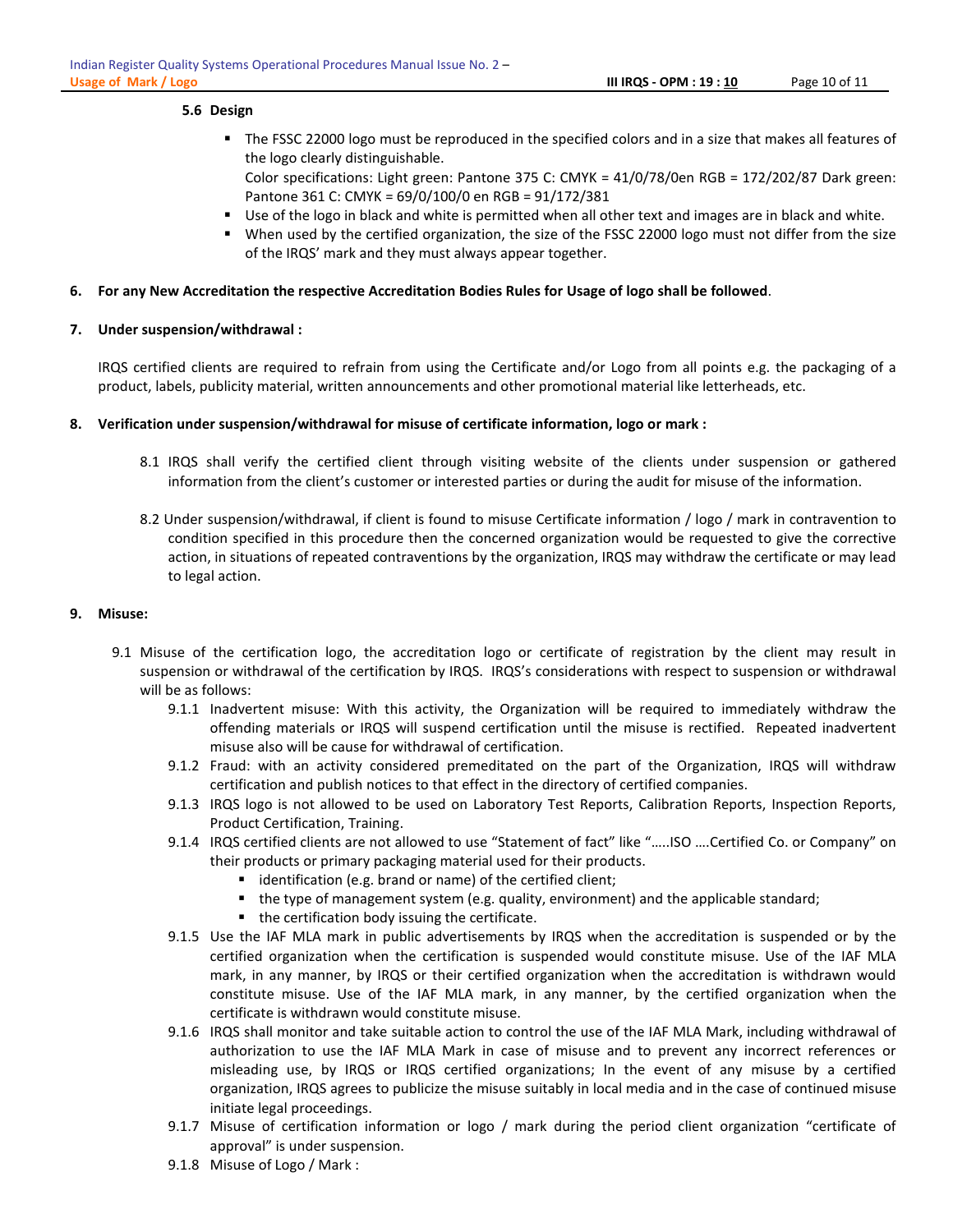# 5.6 Design

Color specifications: Light green: Pantone 375 C: CMYK = 41/0/78/0en RGB = 172/202/87 Dark green: Pantone 361 C: CMYK = 69/0/100/0 en RGB = 91/172/381

- Use of the logo in black and white is permitted when all other text and images are in black and white.
- When used by the certified organization, the size of the FSSC 22000 logo must not differ from the size of the IRQS' mark and they must always appear together.

# 6. For any New Accreditation the respective Accreditation Bodies Rules for Usage of logo shall be followed.

# 7. Under suspension/withdrawal :

IRQS certified clients are required to refrain from using the Certificate and/or Logo from all points e.g. the packaging of a product, labels, publicity material, written announcements and other promotional material like letterheads, etc.

# 8. Verification under suspension/withdrawal for misuse of certificate information, logo or mark :

- 8.1 IRQS shall verify the certified client through visiting website of the clients under suspension or gathered information from the client's customer or interested parties or during the audit for misuse of the information.
- 8.2 Under suspension/withdrawal, if client is found to misuse Certificate information / logo / mark in contravention to condition specified in this procedure then the concerned organization would be requested to give the corrective action, in situations of repeated contraventions by the organization, IRQS may withdraw the certificate or may lead to legal action.

# 9. Misuse:

- 9.1 Misuse of the certification logo, the accreditation logo or certificate of registration by the client may result in suspension or withdrawal of the certification by IRQS. IRQS's considerations with respect to suspension or withdrawal will be as follows:
	- 9.1.1 Inadvertent misuse: With this activity, the Organization will be required to immediately withdraw the offending materials or IRQS will suspend certification until the misuse is rectified. Repeated inadvertent misuse also will be cause for withdrawal of certification.
	- 9.1.2 Fraud: with an activity considered premeditated on the part of the Organization, IRQS will withdraw certification and publish notices to that effect in the directory of certified companies.
	- 9.1.3 IRQS logo is not allowed to be used on Laboratory Test Reports, Calibration Reports, Inspection Reports, Product Certification, Training.
	- 9.1.4 IRQS certified clients are not allowed to use "Statement of fact" like "…..ISO ….Certified Co. or Company" on their products or primary packaging material used for their products.
		- **I** identification (e.g. brand or name) of the certified client;
		- the type of management system (e.g. quality, environment) and the applicable standard;
		- $\blacksquare$  the certification body issuing the certificate.
	- 9.1.5 Use the IAF MLA mark in public advertisements by IRQS when the accreditation is suspended or by the certified organization when the certification is suspended would constitute misuse. Use of the IAF MLA mark, in any manner, by IRQS or their certified organization when the accreditation is withdrawn would constitute misuse. Use of the IAF MLA mark, in any manner, by the certified organization when the certificate is withdrawn would constitute misuse.
	- 9.1.6 IRQS shall monitor and take suitable action to control the use of the IAF MLA Mark, including withdrawal of authorization to use the IAF MLA Mark in case of misuse and to prevent any incorrect references or misleading use, by IRQS or IRQS certified organizations; In the event of any misuse by a certified organization, IRQS agrees to publicize the misuse suitably in local media and in the case of continued misuse initiate legal proceedings.
	- 9.1.7 Misuse of certification information or logo / mark during the period client organization "certificate of approval" is under suspension.
	- 9.1.8 Misuse of Logo / Mark :